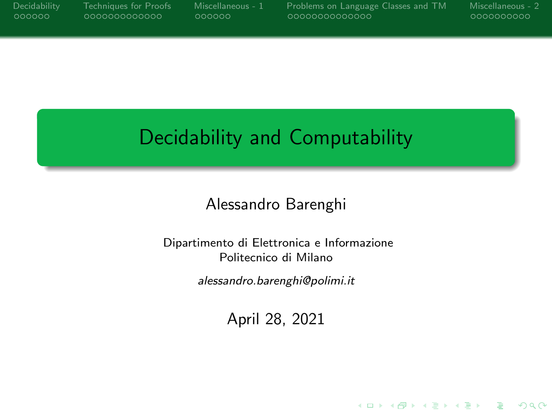<span id="page-0-0"></span>

|        |  |  | Decidability |
|--------|--|--|--------------|
| 000000 |  |  |              |

[Decidability](#page-1-0) [Techniques for Proofs](#page-7-0) [Miscellaneous - 1](#page-20-0) [Problems on Language Classes and TM](#page-26-0) [Miscellaneous - 2](#page-40-0)

**KORK ERRY ABY CHANNEL** 

# Decidability and Computability

Alessandro Barenghi

Dipartimento di Elettronica e Informazione Politecnico di Milano

alessandro.barenghi@polimi.it

April 28, 2021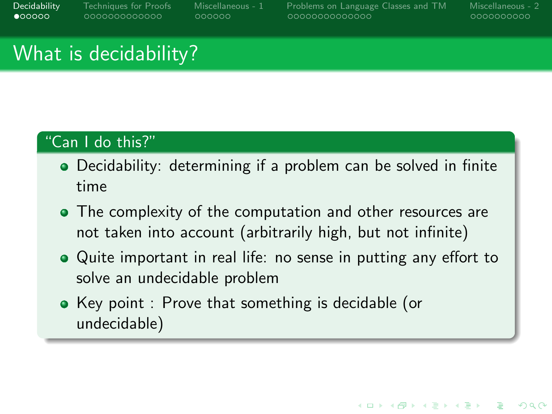<span id="page-1-0"></span>[Decidability](#page-1-0) [Techniques for Proofs](#page-7-0) [Miscellaneous - 1](#page-20-0) [Problems on Language Classes and TM](#page-26-0) [Miscellaneous - 2](#page-40-0)

0000000000

**KORKARA REPASA DA VOCA** 

## What is decidability?

#### "Can I do this?"

- Decidability: determining if a problem can be solved in finite time
- The complexity of the computation and other resources are not taken into account (arbitrarily high, but not infinite)
- Quite important in real life: no sense in putting any effort to solve an undecidable problem
- Key point : Prove that something is decidable (or undecidable)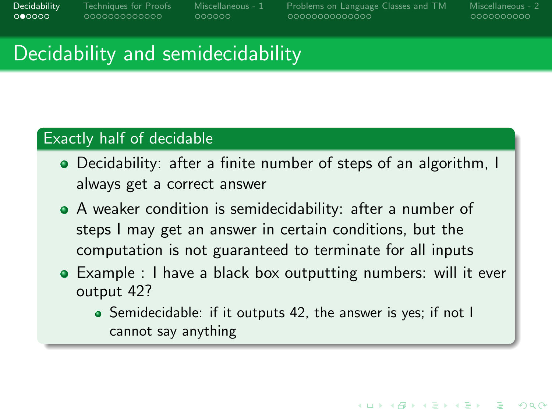[Decidability](#page-1-0) [Techniques for Proofs](#page-7-0) [Miscellaneous - 1](#page-20-0) [Problems on Language Classes and TM](#page-26-0) [Miscellaneous - 2](#page-40-0)

0000000000

**KORKARA REPASA DA VOCA** 

## Decidability and semidecidability

#### Exactly half of decidable

- Decidability: after a finite number of steps of an algorithm, I always get a correct answer
- A weaker condition is semidecidability: after a number of steps I may get an answer in certain conditions, but the computation is not guaranteed to terminate for all inputs
- Example : I have a black box outputting numbers: will it ever output 42?
	- Semidecidable: if it outputs 42, the answer is yes; if not I cannot say anything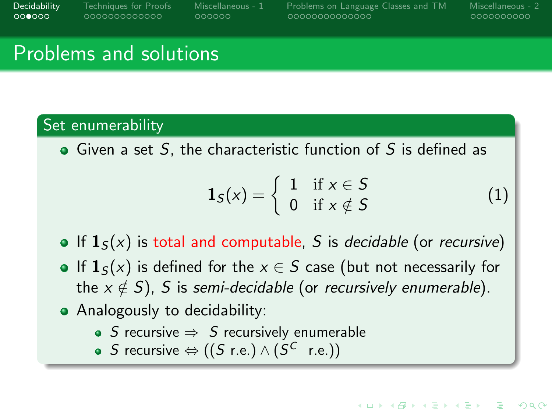000000

[Decidability](#page-1-0) [Techniques for Proofs](#page-7-0) [Miscellaneous - 1](#page-20-0) [Problems on Language Classes and TM](#page-26-0) [Miscellaneous - 2](#page-40-0)

0000000000

(1)

**KORK STRAIN A STRAIN A COMP** 

## Problems and solutions

### Set enumerability

 $\bullet$  Given a set S, the characteristic function of S is defined as

$$
\mathbf{1}_{S}(x) = \left\{ \begin{array}{ll} 1 & \text{if } x \in S \\ 0 & \text{if } x \notin S \end{array} \right.
$$

- If  $\mathbf{1}_{S}(x)$  is total and computable, S is decidable (or recursive)
- If  $\mathbf{1}_{S}(x)$  is defined for the  $x \in S$  case (but not necessarily for the  $x \notin S$ ), S is semi-decidable (or recursively enumerable).
- Analogously to decidability:
	- S recursive  $\Rightarrow$  S recursively enumerable
	- S recursive  $\Leftrightarrow ((S \r{r.e.}) \wedge (S^C \r{r.e.}))$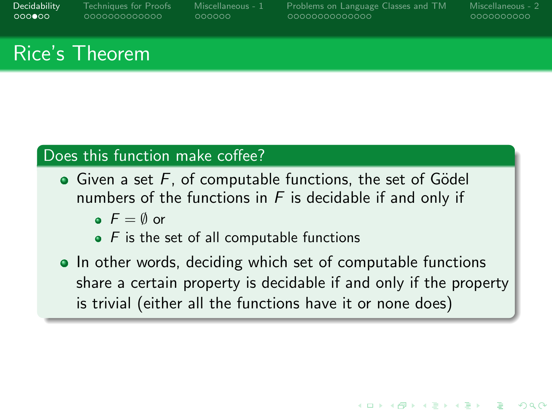[Decidability](#page-1-0) [Techniques for Proofs](#page-7-0) [Miscellaneous - 1](#page-20-0) [Problems on Language Classes and TM](#page-26-0) [Miscellaneous - 2](#page-40-0)

0000000000

**KORKARA REPASA DA VOCA** 

# Rice's Theorem

### Does this function make coffee?

- $\bullet$  Given a set F, of computable functions, the set of Gödel numbers of the functions in  $F$  is decidable if and only if
	- $\bullet$   $F = \emptyset$  or
	- $\bullet$  F is the set of all computable functions
- In other words, deciding which set of computable functions share a certain property is decidable if and only if the property is trivial (either all the functions have it or none does)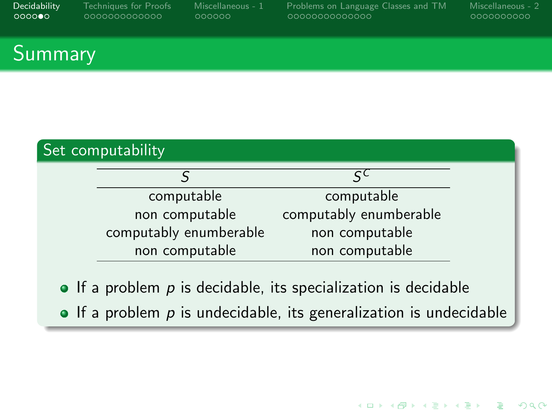| Decidability |
|--------------|
| ಂಂಂ•ಂ        |

[Decidability](#page-1-0) [Techniques for Proofs](#page-7-0) [Miscellaneous - 1](#page-20-0) [Problems on Language Classes and TM](#page-26-0) [Miscellaneous - 2](#page-40-0)

**KORKARA REPASA DA VOCA** 

### **Summary**

| Set computability |                        |                        |  |  |  |  |
|-------------------|------------------------|------------------------|--|--|--|--|
|                   |                        | ςC                     |  |  |  |  |
|                   | computable             | computable             |  |  |  |  |
|                   | non computable         | computably enumberable |  |  |  |  |
|                   | computably enumberable | non computable         |  |  |  |  |
|                   | non computable         | non computable         |  |  |  |  |
|                   |                        |                        |  |  |  |  |

 $\bullet$  If a problem  $p$  is decidable, its specialization is decidable

 $\bullet$  If a problem  $p$  is undecidable, its generalization is undecidable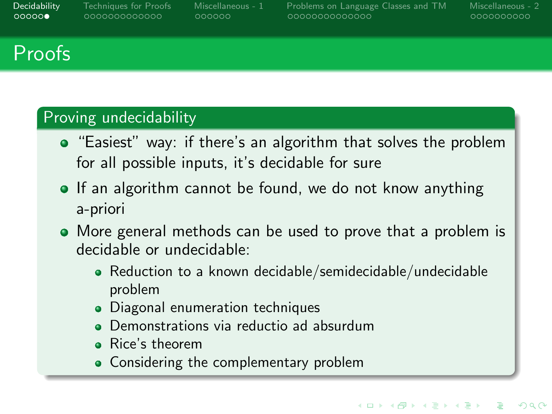[Decidability](#page-1-0) [Techniques for Proofs](#page-7-0) [Miscellaneous - 1](#page-20-0) [Problems on Language Classes and TM](#page-26-0) [Miscellaneous - 2](#page-40-0)

0000000000

# Proofs

### Proving undecidability

- "Easiest" way: if there's an algorithm that solves the problem for all possible inputs, it's decidable for sure
- **If an algorithm cannot be found, we do not know anything** a-priori
- More general methods can be used to prove that a problem is decidable or undecidable:
	- Reduction to a known decidable/semidecidable/undecidable problem
	- Diagonal enumeration techniques
	- Demonstrations via reductio ad absurdum
	- Rice's theorem
	- Considering the complementary problem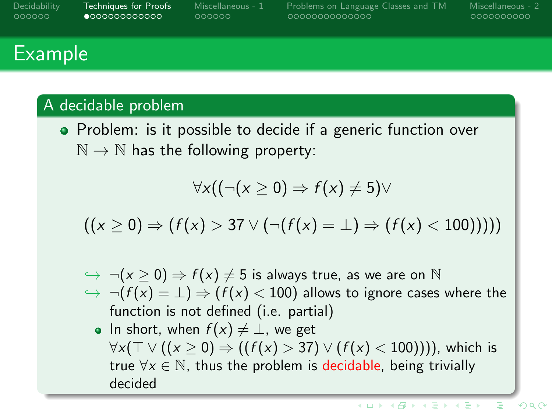<span id="page-7-0"></span>

| Decidability |  |  |  |  |
|--------------|--|--|--|--|
| 000000       |  |  |  |  |

[Decidability](#page-1-0) [Techniques for Proofs](#page-7-0) [Miscellaneous - 1](#page-20-0) [Problems on Language Classes and TM](#page-26-0) [Miscellaneous - 2](#page-40-0)

0000000000

# **Example**

#### A decidable problem

• Problem: is it possible to decide if a generic function over  $\mathbb{N} \to \mathbb{N}$  has the following property:

$$
\forall \mathsf{x}((\neg(\mathsf{x} \geq 0) \Rightarrow f(\mathsf{x}) \neq 5) \vee
$$

 $((x > 0) \Rightarrow (f(x) > 37 \vee (\neg(f(x) = \bot) \Rightarrow (f(x) < 100))))$ 

- $\Rightarrow \neg(x \geq 0) \Rightarrow f(x) \neq 5$  is always true, as we are on N  $\rightarrow \neg(f(x) = \bot) \Rightarrow (f(x) < 100)$  allows to ignore cases where the function is not defined (i.e. partial)
	- In short, when  $f(x) \neq \perp$ , we get  $\forall x(\top \vee ((x \ge 0) \Rightarrow ((f(x) > 37) \vee (f(x) < 100))))$ , which is true  $\forall x \in \mathbb{N}$ , thus the problem is decidable, being trivially decided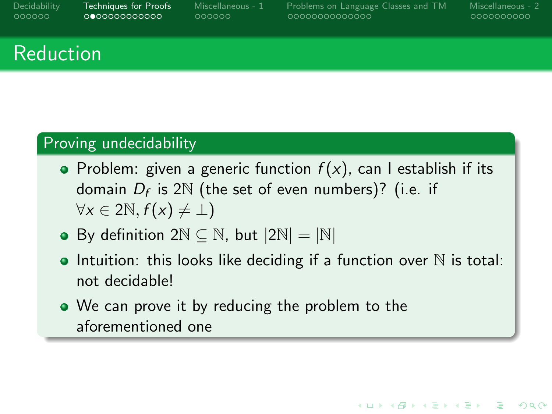[Decidability](#page-1-0) [Techniques for Proofs](#page-7-0) [Miscellaneous - 1](#page-20-0) [Problems on Language Classes and TM](#page-26-0) [Miscellaneous - 2](#page-40-0)

0000000000

**KORKARA REPASA DA VOCA** 

# Reduction

### Proving undecidability

- Problem: given a generic function  $f(x)$ , can I establish if its domain  $D_f$  is 2 $\mathbb N$  (the set of even numbers)? (i.e. if  $\forall x \in 2\mathbb{N}, f(x) \neq \bot$
- By definition  $2N \subseteq N$ , but  $|2N| = |N|$
- Intuition: this looks like deciding if a function over  $\mathbb N$  is total: not decidable!
- We can prove it by reducing the problem to the aforementioned one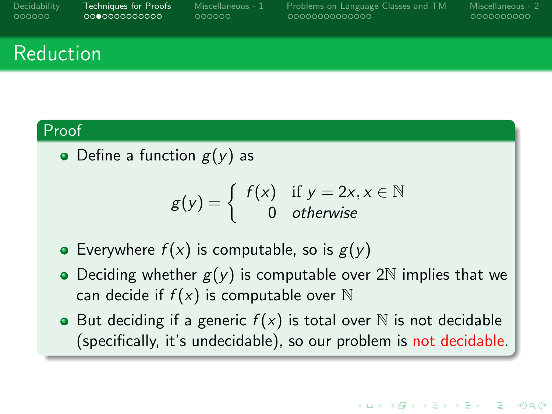| Decidability |
|--------------|
| 000000       |

[Decidability](#page-1-0) [Techniques for Proofs](#page-7-0) [Miscellaneous - 1](#page-20-0) [Problems on Language Classes and TM](#page-26-0) [Miscellaneous - 2](#page-40-0)

0000000000

## Reduction

#### Proof

• Define a function  $g(y)$  as

$$
g(y) = \begin{cases} f(x) & \text{if } y = 2x, x \in \mathbb{N} \\ 0 & \text{otherwise} \end{cases}
$$

- Everywhere  $f(x)$  is computable, so is  $g(y)$
- Deciding whether  $g(y)$  is computable over 2N implies that we can decide if  $f(x)$  is computable over N
- But deciding if a generic  $f(x)$  is total over N is not decidable (specifically, it's undecidable), so our problem is not decidable.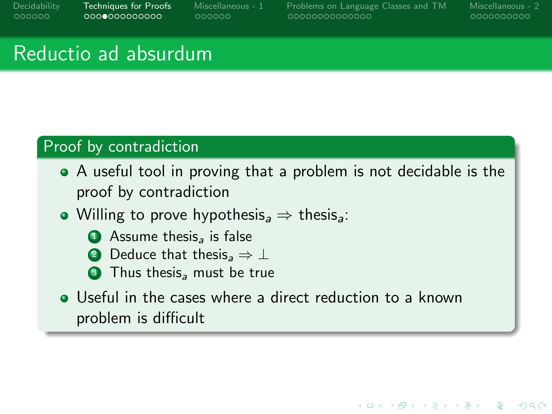[Decidability](#page-1-0) [Techniques for Proofs](#page-7-0) [Miscellaneous - 1](#page-20-0) [Problems on Language Classes and TM](#page-26-0) [Miscellaneous - 2](#page-40-0)

0000000000

**KORK STRAIN A STRAIN A COMP** 

## Reductio ad absurdum

#### Proof by contradiction

- A useful tool in proving that a problem is not decidable is the proof by contradiction
- Willing to prove hypothesis<sub>a</sub>  $\Rightarrow$  thesis<sub>a</sub>:
	- $\bullet$  Assume thesis, is false
	- **2** Deduce that thesis<sub>a</sub>  $\Rightarrow$  ⊥
	- Thus thesis<sub>a</sub> must be true
- **•** Useful in the cases where a direct reduction to a known problem is difficult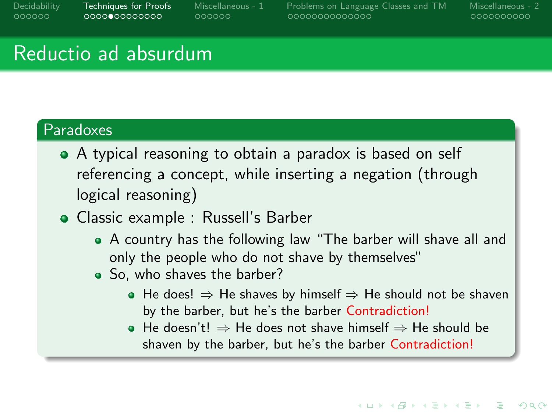[Decidability](#page-1-0) [Techniques for Proofs](#page-7-0) [Miscellaneous - 1](#page-20-0) [Problems on Language Classes and TM](#page-26-0) [Miscellaneous - 2](#page-40-0)

0000000000

**KORK STRAIN A STRAIN A COMP** 

## Reductio ad absurdum

#### Paradoxes

- A typical reasoning to obtain a paradox is based on self referencing a concept, while inserting a negation (through logical reasoning)
- Classic example : Russell's Barber
	- A country has the following law "The barber will shave all and only the people who do not shave by themselves"
	- So, who shaves the barber?
		- $\bullet$  He does!  $\Rightarrow$  He shaves by himself  $\Rightarrow$  He should not be shaven by the barber, but he's the barber Contradiction!
		- $\bullet$  He doesn't!  $\Rightarrow$  He does not shave himself  $\Rightarrow$  He should be shaven by the barber, but he's the barber Contradiction!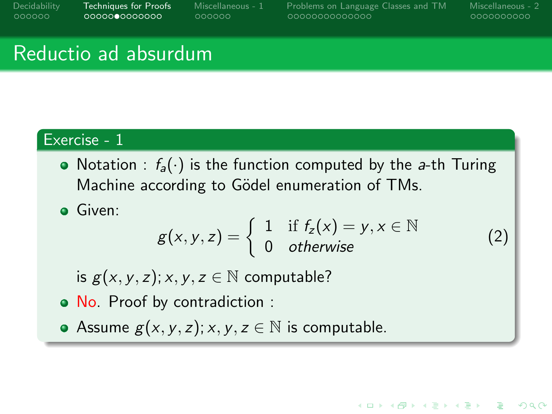[Decidability](#page-1-0) [Techniques for Proofs](#page-7-0) [Miscellaneous - 1](#page-20-0) [Problems on Language Classes and TM](#page-26-0) [Miscellaneous - 2](#page-40-0)

0000000000

**KORK STRAIN A STRAIN A COMP** 

# Reductio ad absurdum

### Exercise - 1

• Notation :  $f_a(\cdot)$  is the function computed by the a-th Turing Machine according to Gödel enumeration of TMs.

Given:

$$
g(x, y, z) = \begin{cases} 1 & \text{if } f_z(x) = y, x \in \mathbb{N} \\ 0 & \text{otherwise} \end{cases}
$$
 (2)

is  $g(x, y, z); x, y, z \in \mathbb{N}$  computable?

• No. Proof by contradiction :

Assume  $g(x, y, z); x, y, z \in \mathbb{N}$  is computable.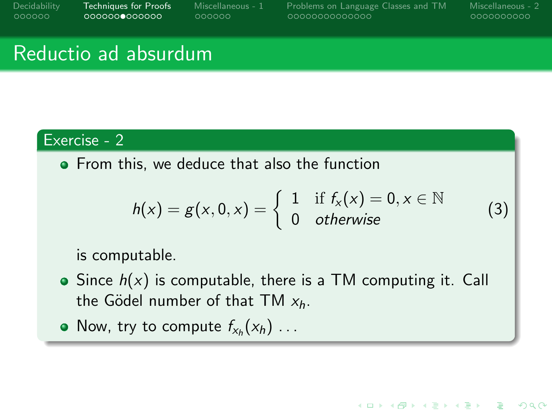[Decidability](#page-1-0) [Techniques for Proofs](#page-7-0) [Miscellaneous - 1](#page-20-0) [Problems on Language Classes and TM](#page-26-0) [Miscellaneous - 2](#page-40-0)

**KORK STRAIN A STRAIN A COMP** 

## Reductio ad absurdum

### Exercise - 2

**•** From this, we deduce that also the function

<span id="page-13-0"></span>
$$
h(x) = g(x, 0, x) = \begin{cases} 1 & \text{if } f_x(x) = 0, x \in \mathbb{N} \\ 0 & \text{otherwise} \end{cases}
$$
 (3)

is computable.

- $\bullet$  Since  $h(x)$  is computable, there is a TM computing it. Call the Gödel number of that TM  $x_h$ .
- Now, try to compute  $f_{x_h}(x_h)$  ...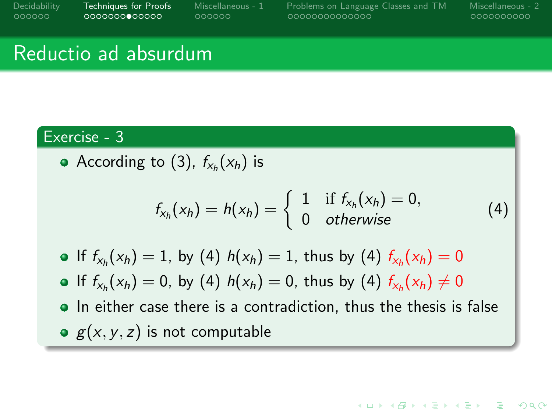[Decidability](#page-1-0) [Techniques for Proofs](#page-7-0) [Miscellaneous - 1](#page-20-0) [Problems on Language Classes and TM](#page-26-0) [Miscellaneous - 2](#page-40-0)

**KORK STRAIN A STRAIN A COMP** 

## Reductio ad absurdum

#### Exercise - 3

According to [\(3\)](#page-13-0),  $f_{x_h}(x_h)$  is

<span id="page-14-0"></span>
$$
f_{x_h}(x_h) = h(x_h) = \begin{cases} 1 & \text{if } f_{x_h}(x_h) = 0, \\ 0 & \text{otherwise} \end{cases}
$$
(4)

- If  $f_{x_h}(x_h) = 1$ , by [\(4\)](#page-14-0)  $h(x_h) = 1$ , thus by (4)  $f_{x_h}(x_h) = 0$
- If  $f_{x_h}(x_h) = 0$ , by [\(4\)](#page-14-0)  $h(x_h) = 0$ , thus by (4)  $f_{x_h}(x_h) \neq 0$
- In either case there is a contradiction, thus the thesis is false  $g(x, y, z)$  is not computable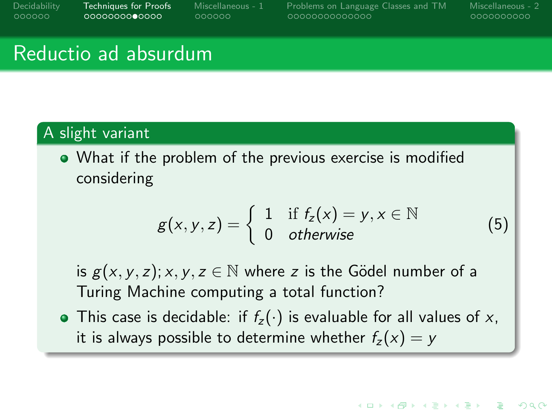[Decidability](#page-1-0) [Techniques for Proofs](#page-7-0) [Miscellaneous - 1](#page-20-0) [Problems on Language Classes and TM](#page-26-0) [Miscellaneous - 2](#page-40-0)

0000000000

**KORKARA REPASA DA VOCA** 

# Reductio ad absurdum

#### A slight variant

What if the problem of the previous exercise is modified considering

$$
g(x, y, z) = \begin{cases} 1 & \text{if } f_z(x) = y, x \in \mathbb{N} \\ 0 & \text{otherwise} \end{cases}
$$
(5)

is  $g(x, y, z)$ ; x, y,  $z \in \mathbb{N}$  where z is the Gödel number of a Turing Machine computing a total function?

• This case is decidable: if  $f_z(\cdot)$  is evaluable for all values of x, it is always possible to determine whether  $f_z(x) = y$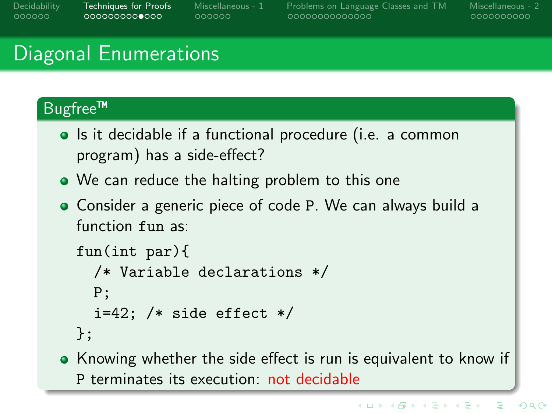aaaaaa

[Decidability](#page-1-0) [Techniques for Proofs](#page-7-0) [Miscellaneous - 1](#page-20-0) [Problems on Language Classes and TM](#page-26-0) [Miscellaneous - 2](#page-40-0)

0000000000

# Diagonal Enumerations

### Bugfree™

- Is it decidable if a functional procedure (i.e. a common program) has a side-effect?
- We can reduce the halting problem to this one
- Consider a generic piece of code P. We can always build a function fun as:

```
fun(int par){
  /* Variable declarations */
  P;
  i=42; /* side effect */
};
```
• Knowing whether the side effect is run is equivalent to know if P terminates its execution: not decidable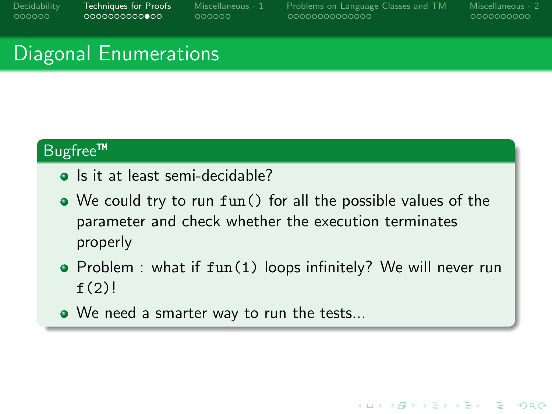[Decidability](#page-1-0) [Techniques for Proofs](#page-7-0) [Miscellaneous - 1](#page-20-0) [Problems on Language Classes and TM](#page-26-0) [Miscellaneous - 2](#page-40-0)

**KORK ERRY ABY CHANNEL** 

## Diagonal Enumerations

#### Bugfree™

- Is it at least semi-decidable?
- We could try to run fun() for all the possible values of the parameter and check whether the execution terminates properly
- Problem : what if fun(1) loops infinitely? We will never run  $f(2)!$
- We need a smarter way to run the tests...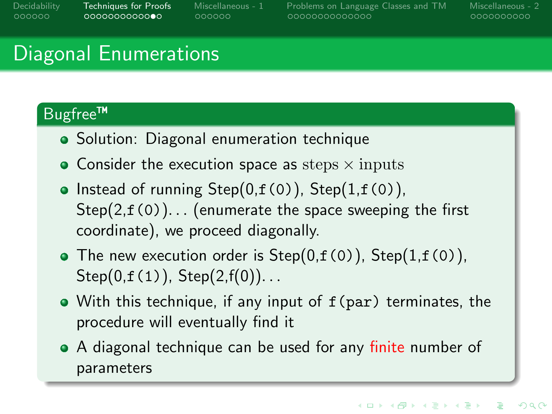aaaaaa

[Decidability](#page-1-0) [Techniques for Proofs](#page-7-0) [Miscellaneous - 1](#page-20-0) [Problems on Language Classes and TM](#page-26-0) [Miscellaneous - 2](#page-40-0)

# Diagonal Enumerations

### Bugfree™

- Solution: Diagonal enumeration technique
- $\bullet$  Consider the execution space as steps  $\times$  inputs
- Instead of running  $Step(0,f(0))$ ,  $Step(1,f(0))$ ,  $Step(2, f(0))$ ... (enumerate the space sweeping the first coordinate), we proceed diagonally.
- The new execution order is  $Step(0,f(0))$ ,  $Step(1,f(0))$ ,  $Step(0,f(1))$ ,  $Step(2,f(0))$ ...
- With this technique, if any input of f(par) terminates, the procedure will eventually find it
- A diagonal technique can be used for any finite number of parameters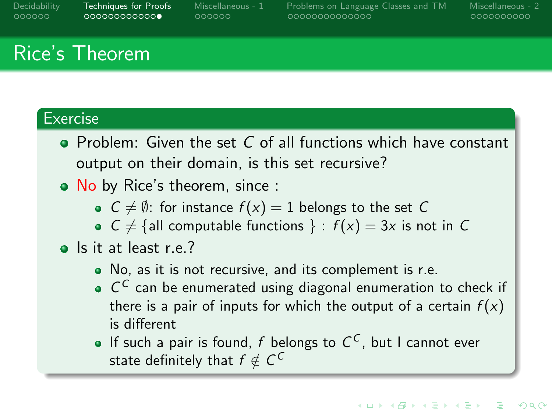aaaaaa

<span id="page-19-0"></span>[Decidability](#page-1-0) [Techniques for Proofs](#page-7-0) [Miscellaneous - 1](#page-20-0) [Problems on Language Classes and TM](#page-26-0) [Miscellaneous - 2](#page-40-0)

0000000000

# Rice's Theorem

#### **Exercise**

- $\bullet$  Problem: Given the set C of all functions which have constant output on their domain, is this set recursive?
- No by Rice's theorem, since :
	- $C \neq \emptyset$ : for instance  $f(x) = 1$  belongs to the set C
	- $C \neq \{$ all computable functions  $\}$  :  $f(x) = 3x$  is not in C
- Is it at least r.e.?
	- No, as it is not recursive, and its complement is r.e.
	- $C<sup>C</sup>$  can be enumerated using diagonal enumeration to check if there is a pair of inputs for which the output of a certain  $f(x)$ is different
	- If such a pair is found, f belongs to  $C^C$ , but I cannot ever state definitely that  $f \notin \mathcal{C}^\mathcal{C}$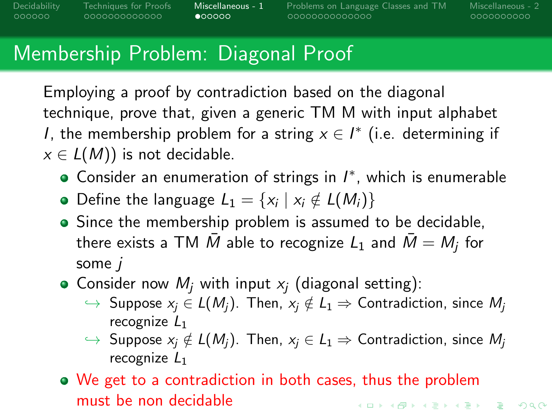000000000000

 $\bullet$ 00000

<span id="page-20-0"></span>[Decidability](#page-1-0) [Techniques for Proofs](#page-7-0) [Miscellaneous - 1](#page-20-0) [Problems on Language Classes and TM](#page-26-0) [Miscellaneous - 2](#page-40-0)

0000000000

# Membership Problem: Diagonal Proof

Employing a proof by contradiction based on the diagonal technique, prove that, given a generic TM M with input alphabet *I*, the membership problem for a string  $x \in I^*$  (i.e. determining if  $x \in L(M)$ ) is not decidable.

- Consider an enumeration of strings in  $I^*$ , which is enumerable
- Define the language  $L_1 = \{x_i \mid x_i \notin L(M_i)\}\$
- Since the membership problem is assumed to be decidable, there exists a TM  $\bar{M}$  able to recognize  $L_1$  and  $\bar{M} = M_j$  for some j
- Consider now  $M_i$  with input  $x_i$  (diagonal setting):
	- $\hookrightarrow$  Suppose  $x_i \in L(M_i)$ . Then,  $x_i \notin L_1 \Rightarrow$  Contradiction, since  $M_i$ recognize  $L_1$
	- $\hookrightarrow$  Suppose  $x_j \notin L(M_j)$ . Then,  $x_i \in L_1 \Rightarrow$  Contradiction, since  $M_i$ recognize  $L_1$
- We get to a contradiction in both cases, thus the problem must be non decidable**KORK EXTERNS ORA**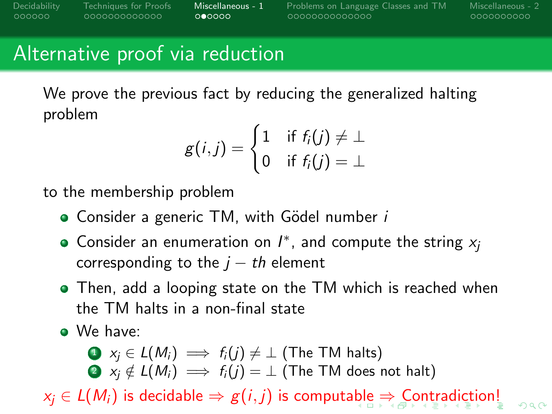$000000$ 

<span id="page-21-0"></span>[Decidability](#page-1-0) [Techniques for Proofs](#page-7-0) [Miscellaneous - 1](#page-20-0) [Problems on Language Classes and TM](#page-26-0) [Miscellaneous - 2](#page-40-0)

0000000000

## Alternative proof via reduction

We prove the previous fact by reducing the generalized halting problem

$$
g(i,j) = \begin{cases} 1 & \text{if } f_i(j) \neq \bot \\ 0 & \text{if } f_i(j) = \bot \end{cases}
$$

to the membership problem

- Consider a generic  $TM$ , with Gödel number  $i$
- Consider an enumeration on  $I^*$ , and compute the string  $x_j$ corresponding to the  $j - th$  element
- Then, add a looping state on the TM which is reached when the TM halts in a non-final state
- We have:

\n- $$
x_j \in L(M_i) \implies f_i(j) \neq \bot
$$
 (The TM halts)
\n- $x_j \notin L(M_i) \implies f_i(j) = \bot$  (The TM does not halt)
\n

 $x_i \in L(M_i)$  $x_i \in L(M_i)$  $x_i \in L(M_i)$  is decid[abl](#page-20-0)e  $\Rightarrow g(i,j)$  $\Rightarrow g(i,j)$  $\Rightarrow g(i,j)$  is compu[t](#page-25-0)[a](#page-26-0)ble  $\Rightarrow$  $\Rightarrow$  $\Rightarrow$  [C](#page-21-0)ontra[di](#page-19-0)[c](#page-20-0)t[io](#page-26-0)[n!](#page-0-0)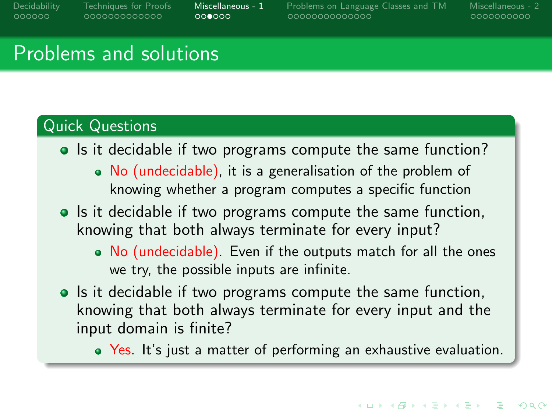<span id="page-22-0"></span>[Decidability](#page-1-0) [Techniques for Proofs](#page-7-0) [Miscellaneous - 1](#page-20-0) [Problems on Language Classes and TM](#page-26-0) [Miscellaneous - 2](#page-40-0)

0000000000

### Problems and solutions

### Quick Questions

- Is it decidable if two programs compute the same function?
	- No (undecidable), it is a generalisation of the problem of knowing whether a program computes a specific function
- Is it decidable if two programs compute the same function, knowing that both always terminate for every input?
	- No (undecidable). Even if the outputs match for all the ones we try, the possible inputs are infinite.
- Is it decidable if two programs compute the same function, knowing that both always terminate for every input and the input domain is finite?
	- Yes. It's just a matter of performing an exhaustive evaluation.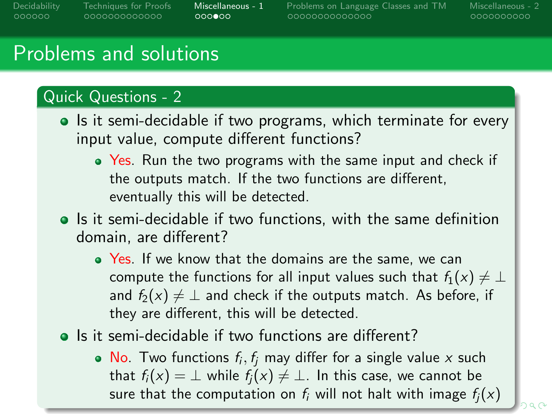0000000000000

 $000000$ 

<span id="page-23-0"></span>[Decidability](#page-1-0) [Techniques for Proofs](#page-7-0) [Miscellaneous - 1](#page-20-0) [Problems on Language Classes and TM](#page-26-0) [Miscellaneous - 2](#page-40-0)

0000000000

## Problems and solutions

### Quick Questions - 2

- Is it semi-decidable if two programs, which terminate for every input value, compute different functions?
	- Yes. Run the two programs with the same input and check if the outputs match. If the two functions are different, eventually this will be detected.
- Is it semi-decidable if two functions, with the same definition domain, are different?
	- Yes. If we know that the domains are the same, we can compute the functions for all input values such that  $f_1(x) \neq \perp$ and  $f_2(x) \neq \perp$  and check if the outputs match. As before, if they are different, this will be detected.
- Is it semi-decidable if two functions are different?
	- No. Two functions  $f_i, f_j$  may differ for a single value x such that  $f_i(x) = \perp$  while  $f_i(x) \neq \perp$ . In this case, we cannot be sure [t](#page-24-0)[h](#page-19-0)at the co[m](#page-25-0)put[a](#page-26-0)tion on  $f_i$  $f_i$  will n[ot](#page-22-0) [hal](#page-24-0)t [wi](#page-23-0)th [i](#page-20-0)ma[g](#page-19-0)[e](#page-20-0)  $f_i(x)$  $f_i(x)$  $f_i(x)$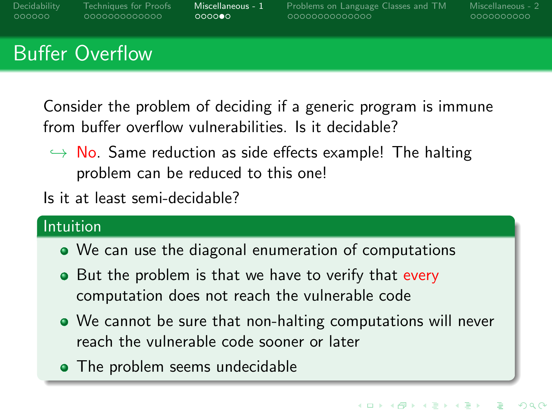<span id="page-24-0"></span>

| Decidability | <b>Techniques for Proofs</b> | Miscellaneous - 1 | Problems on Language Classes and TM | Miscellaneous - 2 |
|--------------|------------------------------|-------------------|-------------------------------------|-------------------|
| COOOOO       | LOOOOOOOOOOOOO               | 000000            | LOOOOOOOOOOOOOO                     | 0000000000        |
|              |                              |                   |                                     |                   |

# Buffer Overflow

Consider the problem of deciding if a generic program is immune from buffer overflow vulnerabilities. Is it decidable?

- $\leftrightarrow$  No. Same reduction as side effects example! The halting problem can be reduced to this one!
- Is it at least semi-decidable?

### Intuition

- We can use the diagonal enumeration of computations
- But the problem is that we have to verify that every computation does not reach the vulnerable code
- We cannot be sure that non-halting computations will never reach the vulnerable code sooner or later
- The problem seems undecidable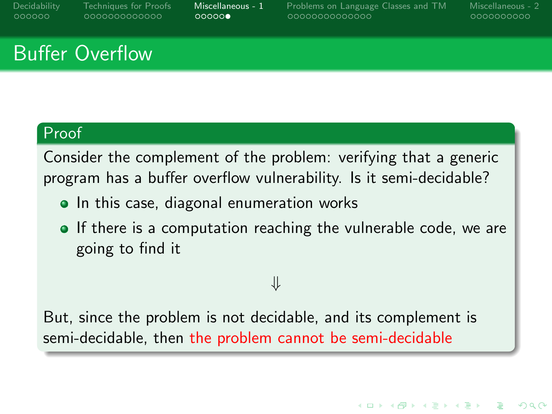<span id="page-25-0"></span>[Decidability](#page-1-0) [Techniques for Proofs](#page-7-0) [Miscellaneous - 1](#page-20-0) [Problems on Language Classes and TM](#page-26-0) [Miscellaneous - 2](#page-40-0)

0000000000

**KORKARA REPASA DA VOCA** 

# Buffer Overflow

### Proof

Consider the complement of the problem: verifying that a generic program has a buffer overflow vulnerability. Is it semi-decidable?

- In this case, diagonal enumeration works
- If there is a computation reaching the vulnerable code, we are going to find it

⇓

But, since the problem is not decidable, and its complement is semi-decidable, then the problem cannot be semi-decidable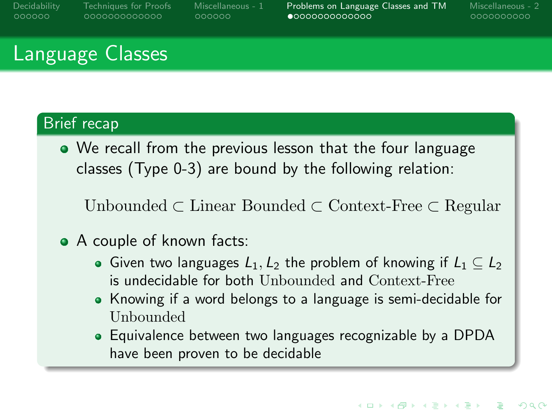<span id="page-26-0"></span>[Decidability](#page-1-0) [Techniques for Proofs](#page-7-0) [Miscellaneous - 1](#page-20-0) [Problems on Language Classes and TM](#page-26-0) [Miscellaneous - 2](#page-40-0)

0000000000

## Language Classes

#### Brief recap

We recall from the previous lesson that the four language classes (Type 0-3) are bound by the following relation:

Unbounded ⊂ Linear Bounded ⊂ Context-Free ⊂ Regular

### • A couple of known facts:

- Given two languages  $L_1, L_2$  the problem of knowing if  $L_1 \subset L_2$ is undecidable for both Unbounded and Context-Free
- Knowing if a word belongs to a language is semi-decidable for Unbounded
- Equivalence between two languages recognizable by a DPDA have been proven to be decidable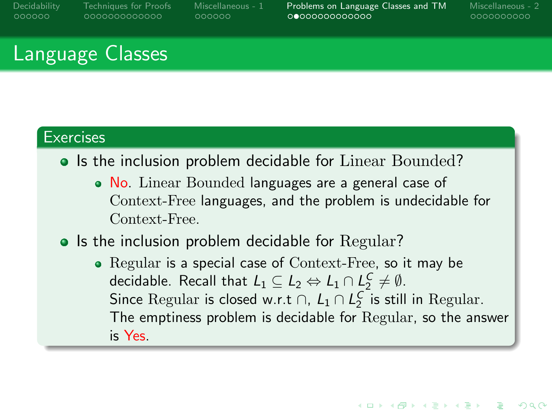aaaaaa

[Decidability](#page-1-0) [Techniques for Proofs](#page-7-0) [Miscellaneous - 1](#page-20-0) [Problems on Language Classes and TM](#page-26-0) [Miscellaneous - 2](#page-40-0)

0000000000

**KORKARA REPASA DA VOCA** 

# Language Classes

### **Exercises**

- Is the inclusion problem decidable for Linear Bounded?
	- No. Linear Bounded languages are a general case of Context-Free languages, and the problem is undecidable for Context-Free.

#### • Is the inclusion problem decidable for Regular?

• Regular is a special case of Context-Free, so it may be decidable. Recall that  $L_1 \subseteq L_2 \Leftrightarrow L_1 \cap L_2^C \neq \emptyset$ . Since Regular is closed w.r.t  $\cap$ ,  $L_1 \cap L_2^C$  is still in Regular. The emptiness problem is decidable for Regular, so the answer is Yes.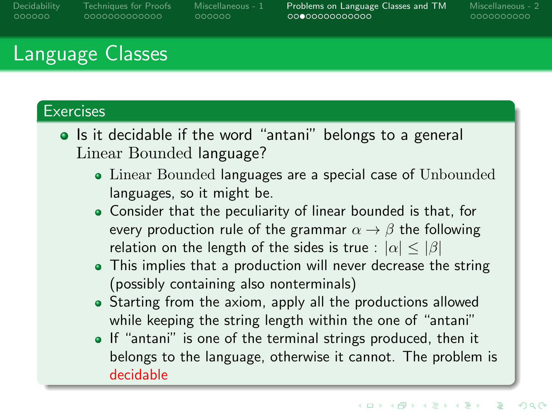aaaaaa

[Decidability](#page-1-0) [Techniques for Proofs](#page-7-0) [Miscellaneous - 1](#page-20-0) [Problems on Language Classes and TM](#page-26-0) [Miscellaneous - 2](#page-40-0)

0000000000

# Language Classes

### **Exercises**

- Is it decidable if the word "antani" belongs to a general Linear Bounded language?
	- Linear Bounded languages are a special case of Unbounded languages, so it might be.
	- Consider that the peculiarity of linear bounded is that, for every production rule of the grammar  $\alpha \rightarrow \beta$  the following relation on the length of the sides is true :  $|\alpha| < |\beta|$
	- This implies that a production will never decrease the string (possibly containing also nonterminals)
	- Starting from the axiom, apply all the productions allowed while keeping the string length within the one of "antani"
	- If "antani" is one of the terminal strings produced, then it belongs to the language, otherwise it cannot. The problem is decidable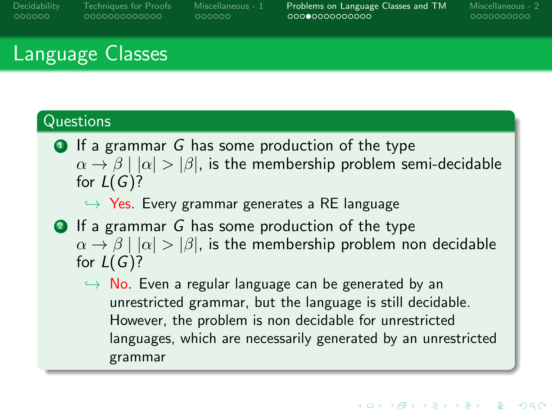0000000000000

000000

[Decidability](#page-1-0) [Techniques for Proofs](#page-7-0) [Miscellaneous - 1](#page-20-0) [Problems on Language Classes and TM](#page-26-0) [Miscellaneous - 2](#page-40-0)

0000000000

# Language Classes

#### **Questions**

 $\bullet$  If a grammar G has some production of the type  $\alpha \rightarrow \beta \mid |\alpha| > |\beta|$ , is the membership problem semi-decidable for  $L(G)$ ?

 $\leftrightarrow$  Yes. Every grammar generates a RE language

- **2** If a grammar G has some production of the type  $\alpha \rightarrow \beta | |\alpha| > |\beta|$ , is the membership problem non decidable for  $L(G)?$ 
	- $\rightarrow$  No. Even a regular language can be generated by an unrestricted grammar, but the language is still decidable. However, the problem is non decidable for unrestricted languages, which are necessarily generated by an unrestricted grammar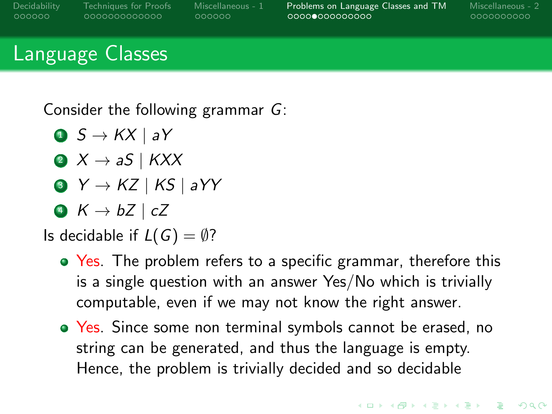000000

[Decidability](#page-1-0) [Techniques for Proofs](#page-7-0) [Miscellaneous - 1](#page-20-0) [Problems on Language Classes and TM](#page-26-0) [Miscellaneous - 2](#page-40-0)

0000000000

# Language Classes

Consider the following grammar G:

- $\bullet$   $S \rightarrow KX \mid aY$
- 2  $X \rightarrow aS$  | KXX
- $\bullet Y \rightarrow KZ \mid KS \mid aYY$
- 4  $K \rightarrow bZ$  | cZ

# Is decidable if  $L(G) = \emptyset$ ?

- Yes. The problem refers to a specific grammar, therefore this is a single question with an answer Yes/No which is trivially computable, even if we may not know the right answer.
- Yes. Since some non terminal symbols cannot be erased, no string can be generated, and thus the language is empty. Hence, the problem is trivially decided and so decidable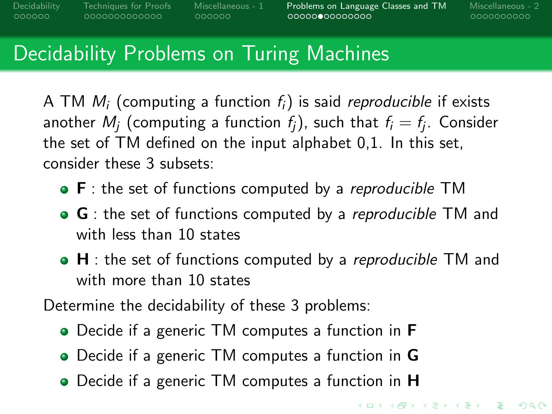0000000000000

000000

[Decidability](#page-1-0) [Techniques for Proofs](#page-7-0) [Miscellaneous - 1](#page-20-0) [Problems on Language Classes and TM](#page-26-0) [Miscellaneous - 2](#page-40-0)

0000000000

**KORK EXTERNS ORA** 

# Decidability Problems on Turing Machines

A TM  $M_i$  (computing a function  $f_i$ ) is said *reproducible* if exists another  $M_j$  (computing a function  $f_j$ ), such that  $f_i = f_j.$  Consider the set of TM defined on the input alphabet 0,1. In this set, consider these 3 subsets:

- $\bullet$  F : the set of functions computed by a *reproducible* TM
- G : the set of functions computed by a *reproducible* TM and with less than 10 states
- $\bullet$  H : the set of functions computed by a *reproducible* TM and with more than 10 states

Determine the decidability of these 3 problems:

- Decide if a generic TM computes a function in **F**
- Decide if a generic TM computes a function in G
- Decide if a generic TM computes a function in **H**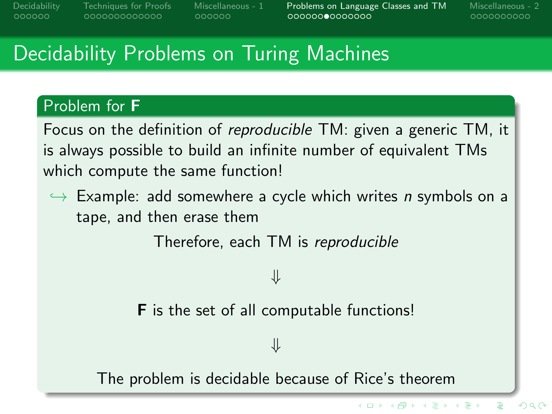aaaaaa

[Decidability](#page-1-0) [Techniques for Proofs](#page-7-0) [Miscellaneous - 1](#page-20-0) [Problems on Language Classes and TM](#page-26-0) [Miscellaneous - 2](#page-40-0)

 $\left\{ \begin{array}{ccc} 1 & 0 & 0 \\ 0 & 1 & 0 \end{array} \right.$ 

0000000000

 $299$ 

# Decidability Problems on Turing Machines

#### Problem for F

Focus on the definition of reproducible TM: given a generic TM, it is always possible to build an infinite number of equivalent TMs which compute the same function!

 $\hookrightarrow$  Example: add somewhere a cycle which writes n symbols on a tape, and then erase them

Therefore, each TM is reproducible

### ⇓

**F** is the set of all computable functions!

⇓

The problem is decidable because of Rice's theorem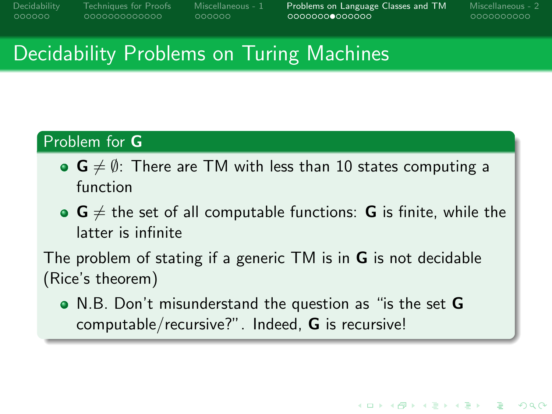[Decidability](#page-1-0) [Techniques for Proofs](#page-7-0) [Miscellaneous - 1](#page-20-0) [Problems on Language Classes and TM](#page-26-0) [Miscellaneous - 2](#page-40-0)

0000000000

**KORK EXTERNS ORA** 

# Decidability Problems on Turing Machines

### Problem for G

- $\bullet$   $\mathbf{G} \neq \emptyset$ : There are TM with less than 10 states computing a function
- $\bullet$   $\mathsf{G} \neq \mathsf{the}$  set of all computable functions:  $\mathsf{G}$  is finite, while the latter is infinite

The problem of stating if a generic TM is in G is not decidable (Rice's theorem)

N.B. Don't misunderstand the question as "is the set G computable/recursive?". Indeed, G is recursive!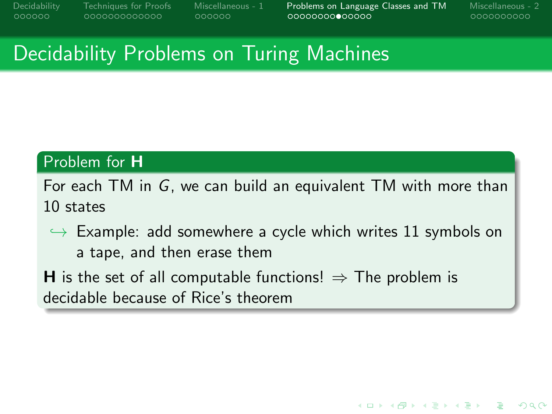[Decidability](#page-1-0) [Techniques for Proofs](#page-7-0) [Miscellaneous - 1](#page-20-0) [Problems on Language Classes and TM](#page-26-0) [Miscellaneous - 2](#page-40-0)

0000000000

**KORK ERRY ABY CHANNEL** 

# Decidability Problems on Turing Machines

### Problem for H

For each TM in G, we can build an equivalent TM with more than 10 states

- $\hookrightarrow$  Example: add somewhere a cycle which writes 11 symbols on a tape, and then erase them
- **H** is the set of all computable functions!  $\Rightarrow$  The problem is decidable because of Rice's theorem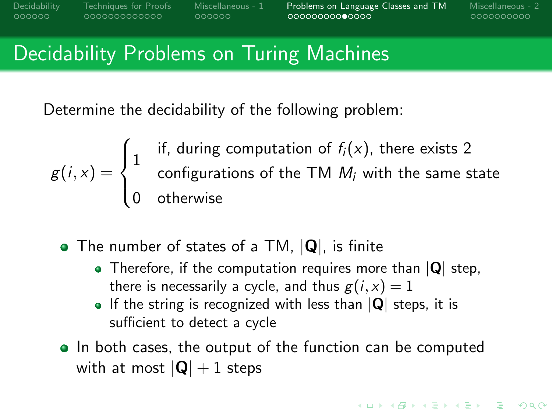000000

[Decidability](#page-1-0) [Techniques for Proofs](#page-7-0) [Miscellaneous - 1](#page-20-0) [Problems on Language Classes and TM](#page-26-0) [Miscellaneous - 2](#page-40-0)

0000000000

**KORKARA REPASA DA VOCA** 

## Decidability Problems on Turing Machines

Determine the decidability of the following problem:

$$
g(i,x) = \begin{cases} 1 & \text{if, during computation of } f_i(x), \text{ there exists 2} \\ & \text{configurations of the TM } M_i \text{ with the same state} \\ 0 & \text{otherwise} \end{cases}
$$

- The number of states of a TM,  $|Q|$ , is finite
	- Therefore, if the computation requires more than  $|Q|$  step, there is necessarily a cycle, and thus  $g(i, x) = 1$
	- If the string is recognized with less than  $|Q|$  steps, it is sufficient to detect a cycle
- In both cases, the output of the function can be computed with at most  $|Q| + 1$  steps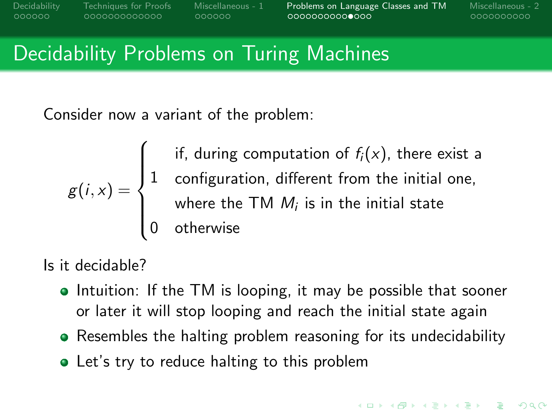[Decidability](#page-1-0) [Techniques for Proofs](#page-7-0) [Miscellaneous - 1](#page-20-0) [Problems on Language Classes and TM](#page-26-0) [Miscellaneous - 2](#page-40-0)

0000000000

# Decidability Problems on Turing Machines

Consider now a variant of the problem:

$$
g(i,x) = \begin{cases} \text{if, during computation of } f_i(x), \text{ there exist a} \\ 1 & \text{configuration, different from the initial one,} \\ \text{where the TM } M_i \text{ is in the initial state} \\ 0 & \text{otherwise} \end{cases}
$$

Is it decidable?

- Intuition: If the TM is looping, it may be possible that sooner or later it will stop looping and reach the initial state again
- Resembles the halting problem reasoning for its undecidability
- Let's try to reduce halting to this problem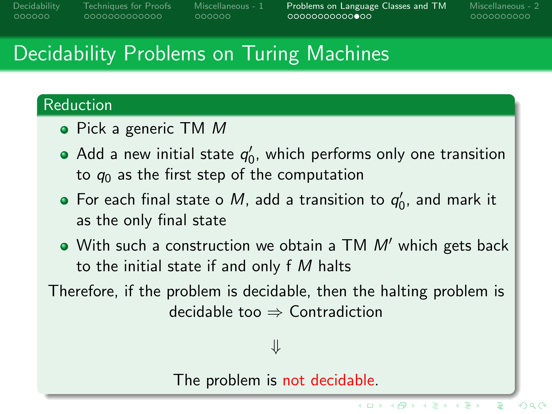0000000000000

aaaaaa

[Decidability](#page-1-0) [Techniques for Proofs](#page-7-0) [Miscellaneous - 1](#page-20-0) [Problems on Language Classes and TM](#page-26-0) [Miscellaneous - 2](#page-40-0)

(ロ) (何) (ヨ) (ヨ)

0000000000

 $299$ 

# Decidability Problems on Turing Machines

#### Reduction

- Pick a generic TM M
- Add a new initial state  $q_0'$ , which performs only one transition to  $q_0$  as the first step of the computation
- For each final state o M, add a transition to  $q'_0$ , and mark it as the only final state
- $\bullet$  With such a construction we obtain a TM  $M'$  which gets back to the initial state if and only  $f M$  halts

Therefore, if the problem is decidable, then the halting problem is decidable too  $\Rightarrow$  Contradiction

### ⇓

The problem is not decidable.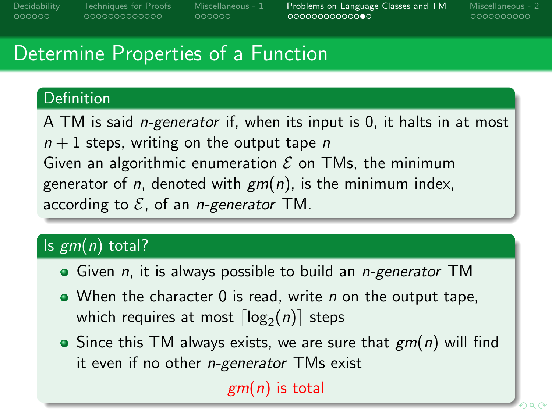0000000000000

aaaaaa

[Decidability](#page-1-0) [Techniques for Proofs](#page-7-0) [Miscellaneous - 1](#page-20-0) [Problems on Language Classes and TM](#page-26-0) [Miscellaneous - 2](#page-40-0)

0000000000

# Determine Properties of a Function

### Definition

A TM is said *n-generator* if, when its input is 0, it halts in at most  $n+1$  steps, writing on the output tape n Given an algorithmic enumeration  $\mathcal E$  on TMs, the minimum generator of *n*, denoted with  $gm(n)$ , is the minimum index, according to  $\mathcal{E}$ , of an *n-generator* TM.

## Is  $gm(n)$  total?

- $\bullet$  Given *n*, it is always possible to build an *n-generator* TM
- $\bullet$  When the character 0 is read, write *n* on the output tape, which requires at most  $\lceil \mathsf{log}_2(n) \rceil$  steps
- Since this TM always exists, we are sure that  $gm(n)$  will find it even if no other n-generator TMs exist

 $gm(n)$  is total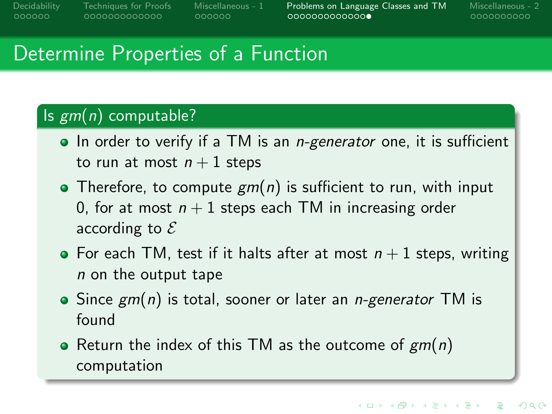aaaaaa

[Decidability](#page-1-0) [Techniques for Proofs](#page-7-0) [Miscellaneous - 1](#page-20-0) [Problems on Language Classes and TM](#page-26-0) [Miscellaneous - 2](#page-40-0)

0000000000

## Determine Properties of a Function

### Is  $gm(n)$  computable?

- $\bullet$  In order to verify if a TM is an *n-generator* one, it is sufficient to run at most  $n+1$  steps
- Therefore, to compute  $gm(n)$  is sufficient to run, with input 0, for at most  $n+1$  steps each TM in increasing order according to  $\mathcal E$
- For each TM, test if it halts after at most  $n + 1$  steps, writing n on the output tape
- $\bullet$  Since  $\epsilon$ m(n) is total, sooner or later an *n-generator* TM is found
- Return the index of this TM as the outcome of  $gm(n)$ computation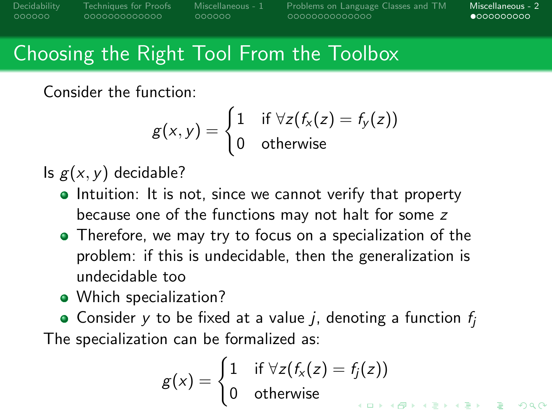<span id="page-40-0"></span>[Decidability](#page-1-0) [Techniques for Proofs](#page-7-0) [Miscellaneous - 1](#page-20-0) [Problems on Language Classes and TM](#page-26-0) [Miscellaneous - 2](#page-40-0)

 $\bullet$ 000000000

# Choosing the Right Tool From the Toolbox

Consider the function:

$$
g(x,y) = \begin{cases} 1 & \text{if } \forall z (f_x(z) = f_y(z)) \\ 0 & \text{otherwise} \end{cases}
$$

Is  $g(x, y)$  decidable?

- Intuition: It is not, since we cannot verify that property because one of the functions may not halt for some z
- Therefore, we may try to focus on a specialization of the problem: if this is undecidable, then the generalization is undecidable too
- Which specialization?

• Consider y to be fixed at a value j, denoting a function  $f_i$ The specialization can be formalized as:

$$
g(x) = \begin{cases} 1 & \text{if } \forall z (f_x(z) = f_j(z)) \\ 0 & \text{otherwise} \end{cases}
$$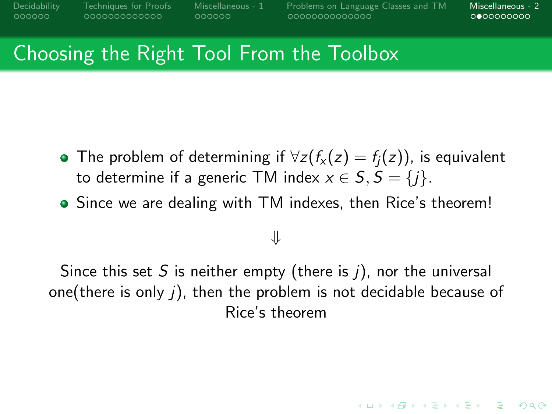0000000000000

000000

[Decidability](#page-1-0) [Techniques for Proofs](#page-7-0) [Miscellaneous - 1](#page-20-0) [Problems on Language Classes and TM](#page-26-0) [Miscellaneous - 2](#page-40-0)

 $0 000000000$ 

**KORKARA REPASA DA VOCA** 

## Choosing the Right Tool From the Toolbox

- **•** The problem of determining if  $\forall z (f_x(z) = f_i(z))$ , is equivalent to determine if a generic TM index  $x \in S$ ,  $S = \{i\}$ .
- Since we are dealing with TM indexes, then Rice's theorem!

## ⇓

Since this set S is neither empty (there is  $i$ ), nor the universal one(there is only j), then the problem is not decidable because of Rice's theorem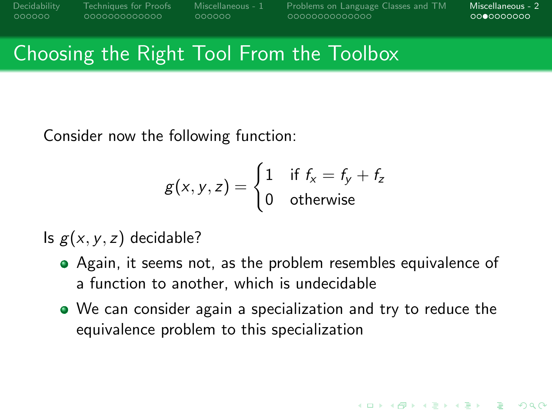000000

[Decidability](#page-1-0) [Techniques for Proofs](#page-7-0) [Miscellaneous - 1](#page-20-0) [Problems on Language Classes and TM](#page-26-0) [Miscellaneous - 2](#page-40-0)

 $0000000000$ 

**KORKARA REPASA DA VOCA** 

## Choosing the Right Tool From the Toolbox

Consider now the following function:

$$
g(x, y, z) = \begin{cases} 1 & \text{if } f_x = f_y + f_z \\ 0 & \text{otherwise} \end{cases}
$$

Is  $g(x, y, z)$  decidable?

- Again, it seems not, as the problem resembles equivalence of a function to another, which is undecidable
- We can consider again a specialization and try to reduce the equivalence problem to this specialization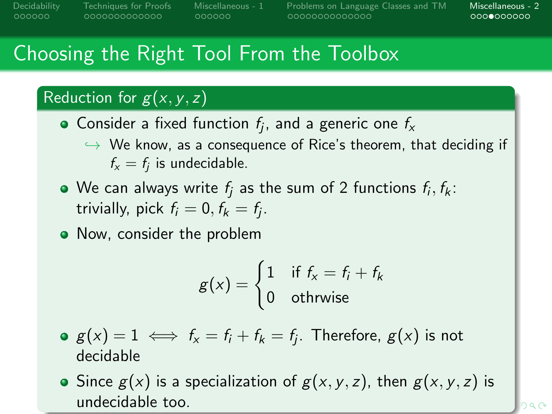0000000000000

000000

[Decidability](#page-1-0) [Techniques for Proofs](#page-7-0) [Miscellaneous - 1](#page-20-0) [Problems on Language Classes and TM](#page-26-0) [Miscellaneous - 2](#page-40-0)

 $0000000000$ 

# Choosing the Right Tool From the Toolbox

### Reduction for  $g(x, y, z)$

- Consider a fixed function  $f_j$ , and a generic one  $f_{\mathsf{x}}$ 
	- $\rightarrow$  We know, as a consequence of Rice's theorem, that deciding if  $f_{x} = f_{j}$  is undecidable.
- We can always write  $f_j$  as the sum of 2 functions  $f_i, f_k\colon$ trivially, pick  $f_i = 0, f_k = f_j$ .
- Now, consider the problem

$$
g(x) = \begin{cases} 1 & \text{if } f_x = f_i + f_k \\ 0 & \text{otherwise} \end{cases}
$$

- $g(x)=1 \iff f_{\sf x} = f_{\sf i}+f_{\sf k}=f_{\sf j}.$  Therefore,  $g({\sf x})$  is not decidable
- Since  $g(x)$  is a specialization of  $g(x, y, z)$ , then  $g(x, y, z)$  is undecidable too.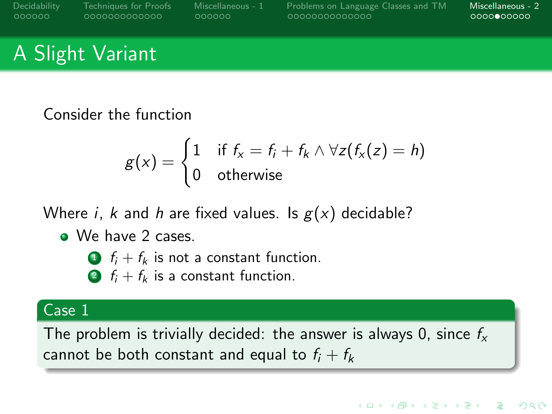[Decidability](#page-1-0) [Techniques for Proofs](#page-7-0) [Miscellaneous - 1](#page-20-0) [Problems on Language Classes and TM](#page-26-0) [Miscellaneous - 2](#page-40-0)

**KORK STRAIN A STRAIN A COMP** 

# A Slight Variant

Consider the function

$$
g(x) = \begin{cases} 1 & \text{if } f_x = f_i + f_k \wedge \forall z (f_x(z) = h) \\ 0 & \text{otherwise} \end{cases}
$$

Where *i*, *k* and *h* are fixed values. Is  $g(x)$  decidable?

- We have 2 cases
	- **1**  $f_i + f_k$  is not a constant function.
	- 2  $f_i + f_k$  is a constant function.

#### Case 1

The problem is trivially decided: the answer is always 0, since  $f_{x}$ cannot be both constant and equal to  $f_i + f_k$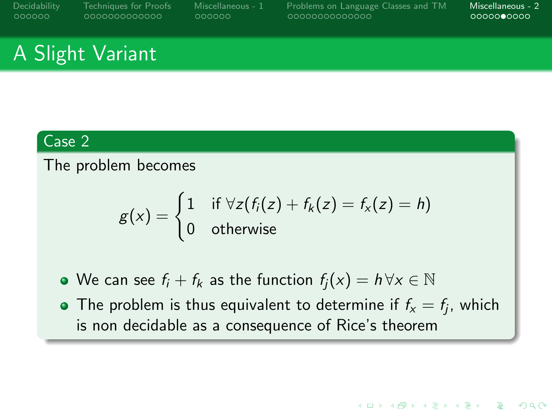[Decidability](#page-1-0) [Techniques for Proofs](#page-7-0) [Miscellaneous - 1](#page-20-0) [Problems on Language Classes and TM](#page-26-0) [Miscellaneous - 2](#page-40-0)

**KORK STRAIN A STRAIN A COMP** 

# A Slight Variant

#### Case 2

#### The problem becomes

$$
g(x) = \begin{cases} 1 & \text{if } \forall z (f_i(z) + f_k(z) = f_x(z) = h) \\ 0 & \text{otherwise} \end{cases}
$$

 $\bullet$  We can see  $f_i + f_k$  as the function  $f_i(x) = h \,\forall x \in \mathbb{N}$ 

The problem is thus equivalent to determine if  $f_{\mathsf{x}} = f_j$ , which is non decidable as a consequence of Rice's theorem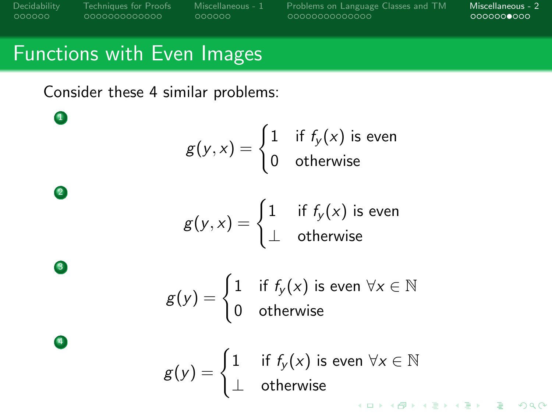$\bullet$ 

2

3

4

0000000000000

000000

[Decidability](#page-1-0) [Techniques for Proofs](#page-7-0) [Miscellaneous - 1](#page-20-0) [Problems on Language Classes and TM](#page-26-0) [Miscellaneous - 2](#page-40-0)

### Functions with Even Images

Consider these 4 similar problems:

 $g(y, x) = \begin{cases} 1 & \text{if } f_y(x) \text{ is even} \ 0 & \text{otherwise}. \end{cases}$ 0 otherwise

 $g(y, x) = \begin{cases} 1 & \text{ if } f_y(x) \text{ is even} \end{cases}$ ⊥ otherwise

- $g(y) = \begin{cases} 1 & \text{if } f_y(x) \text{ is even } \forall x \in \mathbb{N} \end{cases}$ 0 otherwise
- $g(y) = \begin{cases} 1 & \text{ if } f_y(x) \text{ is even } \forall x \in \mathbb{N} \end{cases}$ ⊥ otherwiseKO K K Ø K K E K K E K V K K K K K K K K K K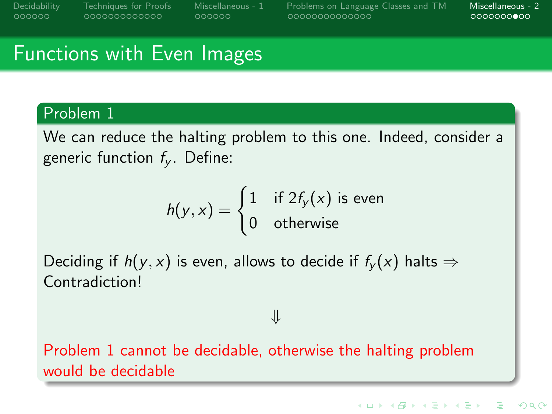[Decidability](#page-1-0) [Techniques for Proofs](#page-7-0) [Miscellaneous - 1](#page-20-0) [Problems on Language Classes and TM](#page-26-0) [Miscellaneous - 2](#page-40-0)

## Functions with Even Images

#### Problem 1

We can reduce the halting problem to this one. Indeed, consider a generic function  $f_v$ . Define:

$$
h(y, x) = \begin{cases} 1 & \text{if } 2f_y(x) \text{ is even} \\ 0 & \text{otherwise} \end{cases}
$$

Deciding if  $h(y, x)$  is even, allows to decide if  $f_y(x)$  halts  $\Rightarrow$ Contradiction!

⇓

Problem 1 cannot be decidable, otherwise the halting problem would be decidable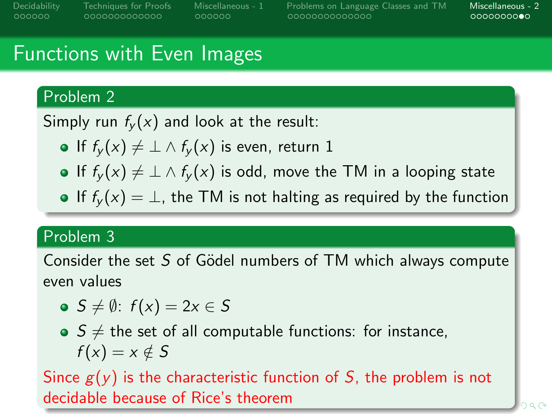[Decidability](#page-1-0) [Techniques for Proofs](#page-7-0) [Miscellaneous - 1](#page-20-0) [Problems on Language Classes and TM](#page-26-0) [Miscellaneous - 2](#page-40-0)

 $000000000$ 

# Functions with Even Images

### Problem 2

Simply run  $f_v(x)$  and look at the result:

- If  $f_{\nu}(x) \neq \bot \wedge f_{\nu}(x)$  is even, return 1
- If  $f_v(x) \neq \bot \wedge f_v(x)$  is odd, move the TM in a looping state
- If  $f_{\nu}(x) = \bot$ , the TM is not halting as required by the function

### Problem 3

Consider the set  $S$  of Gödel numbers of TM which always compute even values

- $\bullet$   $S \neq \emptyset$ :  $f(x) = 2x \in S$
- $\bullet$   $S \neq$  the set of all computable functions: for instance,  $f(x) = x \notin S$

Since  $g(y)$  is the characteristic function of S, the problem is not decidable because of Rice's theorem